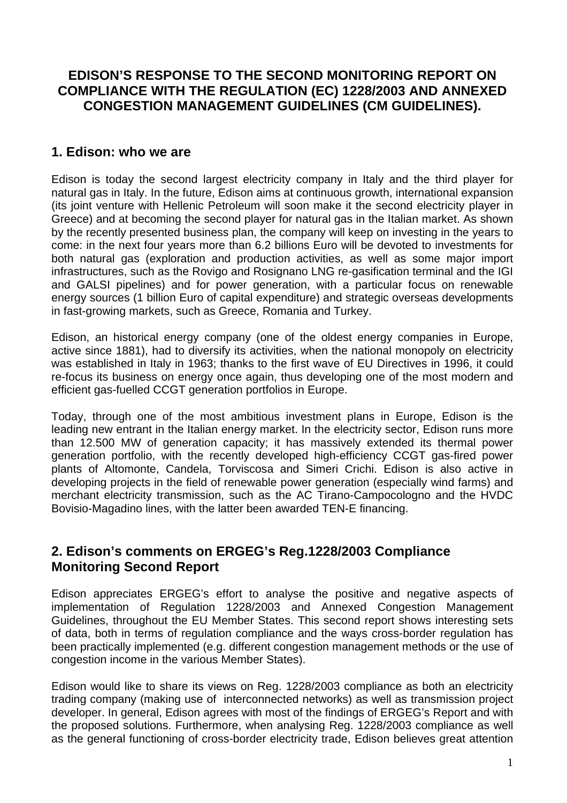# **EDISON'S RESPONSE TO THE SECOND MONITORING REPORT ON COMPLIANCE WITH THE REGULATION (EC) 1228/2003 AND ANNEXED CONGESTION MANAGEMENT GUIDELINES (CM GUIDELINES).**

### **1. Edison: who we are**

Edison is today the second largest electricity company in Italy and the third player for natural gas in Italy. In the future, Edison aims at continuous growth, international expansion (its joint venture with Hellenic Petroleum will soon make it the second electricity player in Greece) and at becoming the second player for natural gas in the Italian market. As shown by the recently presented business plan, the company will keep on investing in the years to come: in the next four years more than 6.2 billions Euro will be devoted to investments for both natural gas (exploration and production activities, as well as some major import infrastructures, such as the Rovigo and Rosignano LNG re-gasification terminal and the IGI and GALSI pipelines) and for power generation, with a particular focus on renewable energy sources (1 billion Euro of capital expenditure) and strategic overseas developments in fast-growing markets, such as Greece, Romania and Turkey.

Edison, an historical energy company (one of the oldest energy companies in Europe, active since 1881), had to diversify its activities, when the national monopoly on electricity was established in Italy in 1963; thanks to the first wave of EU Directives in 1996, it could re-focus its business on energy once again, thus developing one of the most modern and efficient gas-fuelled CCGT generation portfolios in Europe.

Today, through one of the most ambitious investment plans in Europe, Edison is the leading new entrant in the Italian energy market. In the electricity sector, Edison runs more than 12.500 MW of generation capacity; it has massively extended its thermal power generation portfolio, with the recently developed high-efficiency CCGT gas-fired power plants of Altomonte, Candela, Torviscosa and Simeri Crichi. Edison is also active in developing projects in the field of renewable power generation (especially wind farms) and merchant electricity transmission, such as the AC Tirano-Campocologno and the HVDC Bovisio-Magadino lines, with the latter been awarded TEN-E financing.

## **2. Edison's comments on ERGEG's Reg.1228/2003 Compliance Monitoring Second Report**

Edison appreciates ERGEG's effort to analyse the positive and negative aspects of implementation of Regulation 1228/2003 and Annexed Congestion Management Guidelines, throughout the EU Member States. This second report shows interesting sets of data, both in terms of regulation compliance and the ways cross-border regulation has been practically implemented (e.g. different congestion management methods or the use of congestion income in the various Member States).

Edison would like to share its views on Reg. 1228/2003 compliance as both an electricity trading company (making use of interconnected networks) as well as transmission project developer. In general, Edison agrees with most of the findings of ERGEG's Report and with the proposed solutions. Furthermore, when analysing Reg. 1228/2003 compliance as well as the general functioning of cross-border electricity trade, Edison believes great attention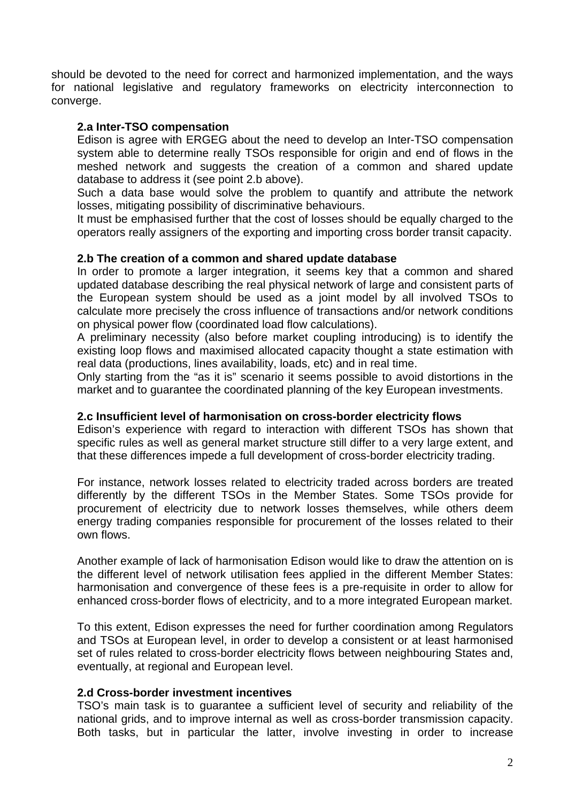should be devoted to the need for correct and harmonized implementation, and the ways for national legislative and regulatory frameworks on electricity interconnection to converge.

#### **2.a Inter-TSO compensation**

Edison is agree with ERGEG about the need to develop an Inter-TSO compensation system able to determine really TSOs responsible for origin and end of flows in the meshed network and suggests the creation of a common and shared update database to address it (see point 2.b above).

Such a data base would solve the problem to quantify and attribute the network losses, mitigating possibility of discriminative behaviours.

It must be emphasised further that the cost of losses should be equally charged to the operators really assigners of the exporting and importing cross border transit capacity.

### **2.b The creation of a common and shared update database**

In order to promote a larger integration, it seems key that a common and shared updated database describing the real physical network of large and consistent parts of the European system should be used as a joint model by all involved TSOs to calculate more precisely the cross influence of transactions and/or network conditions on physical power flow (coordinated load flow calculations).

A preliminary necessity (also before market coupling introducing) is to identify the existing loop flows and maximised allocated capacity thought a state estimation with real data (productions, lines availability, loads, etc) and in real time.

Only starting from the "as it is" scenario it seems possible to avoid distortions in the market and to guarantee the coordinated planning of the key European investments.

#### **2.c Insufficient level of harmonisation on cross-border electricity flows**

Edison's experience with regard to interaction with different TSOs has shown that specific rules as well as general market structure still differ to a very large extent, and that these differences impede a full development of cross-border electricity trading.

For instance, network losses related to electricity traded across borders are treated differently by the different TSOs in the Member States. Some TSOs provide for procurement of electricity due to network losses themselves, while others deem energy trading companies responsible for procurement of the losses related to their own flows.

Another example of lack of harmonisation Edison would like to draw the attention on is the different level of network utilisation fees applied in the different Member States: harmonisation and convergence of these fees is a pre-requisite in order to allow for enhanced cross-border flows of electricity, and to a more integrated European market.

To this extent, Edison expresses the need for further coordination among Regulators and TSOs at European level, in order to develop a consistent or at least harmonised set of rules related to cross-border electricity flows between neighbouring States and, eventually, at regional and European level.

#### **2.d Cross-border investment incentives**

TSO's main task is to guarantee a sufficient level of security and reliability of the national grids, and to improve internal as well as cross-border transmission capacity. Both tasks, but in particular the latter, involve investing in order to increase